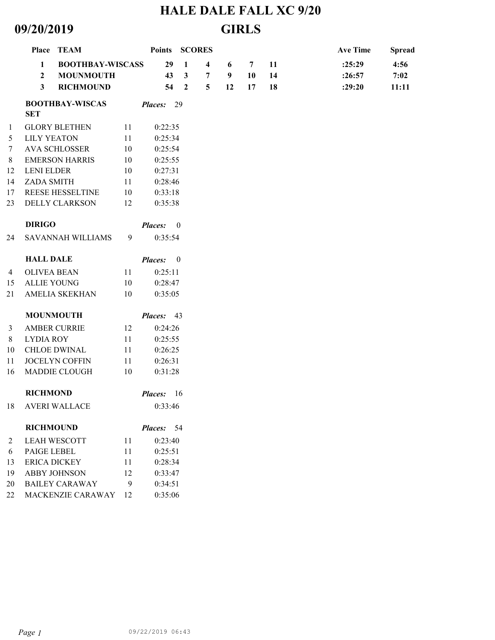## **HALE DALE FALL XC 9/20 09/20/2019 GIRLS**

|                |                                                                  | Place TEAM             |    | Points SCORES                              |                          |   |    |    |        | <b>Ave Time</b> | <b>Spread</b> |
|----------------|------------------------------------------------------------------|------------------------|----|--------------------------------------------|--------------------------|---|----|----|--------|-----------------|---------------|
|                | <b>BOOTHBAY-WISCASS</b><br>1<br><b>MOUNMOUTH</b><br>$\mathbf{2}$ |                        |    | 29                                         | 1                        | 4 | 6  | 7  | 11     | :25:29          | 4:56          |
|                |                                                                  |                        | 43 | $\mathbf{3}$                               | 7                        | 9 | 10 | 14 | :26:57 | 7:02            |               |
|                | 3                                                                | <b>RICHMOUND</b>       |    | 54                                         | $\overline{2}$           | 5 | 12 | 17 | 18     | :29:20          | 11:11         |
|                | <b>SET</b>                                                       | <b>BOOTHBAY-WISCAS</b> |    | Places: 29                                 |                          |   |    |    |        |                 |               |
| 1              |                                                                  | <b>GLORY BLETHEN</b>   | 11 | 0:22:35                                    |                          |   |    |    |        |                 |               |
| 5              | <b>LILY YEATON</b>                                               |                        | 11 | 0:25:34                                    |                          |   |    |    |        |                 |               |
| $\tau$         |                                                                  | <b>AVA SCHLOSSER</b>   | 10 | 0:25:54                                    |                          |   |    |    |        |                 |               |
| $\,8\,$        | <b>EMERSON HARRIS</b>                                            |                        | 10 | 0:25:55                                    |                          |   |    |    |        |                 |               |
| 12             | <b>LENI ELDER</b>                                                |                        | 10 | 0:27:31                                    |                          |   |    |    |        |                 |               |
| 14             | ZADA SMITH                                                       |                        | 11 | 0:28:46                                    |                          |   |    |    |        |                 |               |
| 17             | REESE HESSELTINE                                                 |                        | 10 | 0:33:18                                    |                          |   |    |    |        |                 |               |
| 23             |                                                                  | <b>DELLY CLARKSON</b>  | 12 | 0:35:38                                    |                          |   |    |    |        |                 |               |
|                | <b>DIRIGO</b>                                                    |                        |    | <b>Places:</b>                             | $\overline{\phantom{0}}$ |   |    |    |        |                 |               |
| 24             |                                                                  | SAVANNAH WILLIAMS      | 9  | 0:35:54                                    |                          |   |    |    |        |                 |               |
|                | <b>HALL DALE</b>                                                 |                        |    | <b>Places:</b><br>$\overline{\phantom{0}}$ |                          |   |    |    |        |                 |               |
| 4              | <b>OLIVEA BEAN</b>                                               |                        | 11 | 0:25:11                                    |                          |   |    |    |        |                 |               |
| 15             | <b>ALLIE YOUNG</b>                                               |                        | 10 | 0:28:47                                    |                          |   |    |    |        |                 |               |
| 21             |                                                                  | AMELIA SKEKHAN         | 10 | 0:35:05                                    |                          |   |    |    |        |                 |               |
|                |                                                                  | <b>MOUNMOUTH</b>       |    | Places: 43                                 |                          |   |    |    |        |                 |               |
| $\mathfrak{Z}$ |                                                                  | <b>AMBER CURRIE</b>    | 12 | 0:24:26                                    |                          |   |    |    |        |                 |               |
| $\,8\,$        | <b>LYDIA ROY</b>                                                 |                        | 11 | 0:25:55                                    |                          |   |    |    |        |                 |               |
| 10             |                                                                  | <b>CHLOE DWINAL</b>    | 11 | 0:26:25                                    |                          |   |    |    |        |                 |               |
| 11             |                                                                  | JOCELYN COFFIN         | 11 | 0:26:31                                    |                          |   |    |    |        |                 |               |
| 16             |                                                                  | MADDIE CLOUGH          | 10 | 0:31:28                                    |                          |   |    |    |        |                 |               |
|                | <b>RICHMOND</b>                                                  |                        |    | <b>Places:</b>                             | -16                      |   |    |    |        |                 |               |
| 18             |                                                                  | <b>AVERI WALLACE</b>   |    | 0:33:46                                    |                          |   |    |    |        |                 |               |
|                | <b>RICHMOUND</b>                                                 |                        |    | Places: 54                                 |                          |   |    |    |        |                 |               |
| 2              |                                                                  | <b>LEAH WESCOTT</b>    | 11 | 0:23:40                                    |                          |   |    |    |        |                 |               |
| 6              | PAIGE LEBEL                                                      |                        | 11 | 0:25:51                                    |                          |   |    |    |        |                 |               |
| 13             |                                                                  | <b>ERICA DICKEY</b>    | 11 | 0:28:34                                    |                          |   |    |    |        |                 |               |
| 19             |                                                                  | ABBY JOHNSON           | 12 | 0:33:47                                    |                          |   |    |    |        |                 |               |
| 20             |                                                                  | <b>BAILEY CARAWAY</b>  | 9  | 0:34:51                                    |                          |   |    |    |        |                 |               |
| 22             |                                                                  | MACKENZIE CARAWAY      | 12 | 0:35:06                                    |                          |   |    |    |        |                 |               |